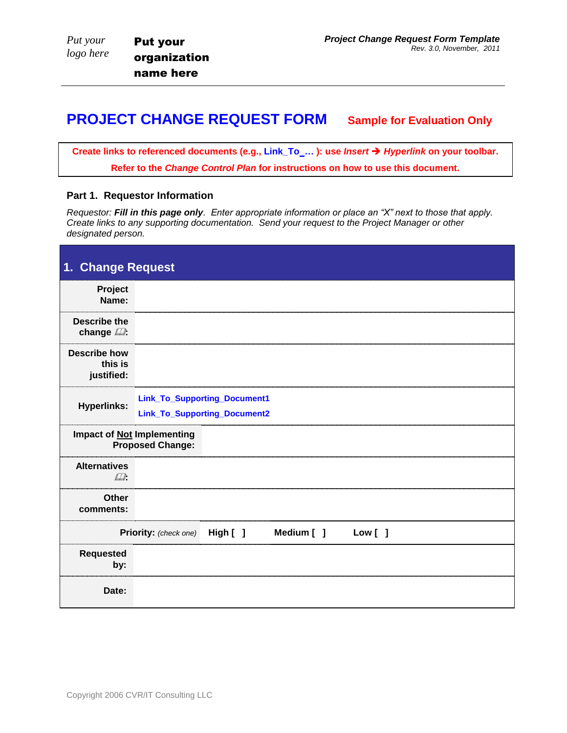## **PROJECT CHANGE REQUEST FORM Sample for Evaluation Only**

**Create links to referenced documents (e.g., Link\_To\_… ): use** *Insert Hyperlink* **on your toolbar. Refer to the** *Change Control Plan* **for instructions on how to use this document.**

## **Part 1. Requestor Information**

*Requestor: Fill in this page only. Enter appropriate information or place an "X" next to those that apply. Create links to any supporting documentation. Send your request to the Project Manager or other designated person.*

| 1. Change Request                            |                                                              |
|----------------------------------------------|--------------------------------------------------------------|
| Project<br>Name:                             |                                                              |
| <b>Describe the</b><br>change $\mathbb{Z}$ : |                                                              |
| <b>Describe how</b><br>this is<br>justified: |                                                              |
| <b>Hyperlinks:</b>                           | Link_To_Supporting_Document1<br>Link_To_Supporting_Document2 |
|                                              | Impact of <b>Not</b> Implementing<br><b>Proposed Change:</b> |
| <b>Alternatives</b><br>$\Box$                |                                                              |
| Other<br>comments:                           |                                                              |
|                                              | Priority: (check one) High [ ] Medium [ ]<br>Low [ ]         |
| <b>Requested</b><br>by:                      |                                                              |
| Date:                                        |                                                              |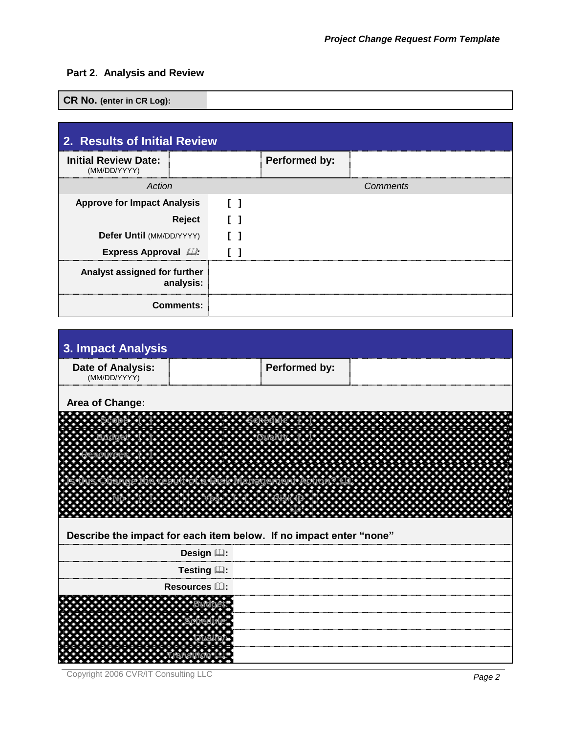## **Part 2. Analysis and Review**

**CR No. (enter in CR Log):** 

| 2. Results of Initial Review                |  |  |               |  |  |
|---------------------------------------------|--|--|---------------|--|--|
| <b>Initial Review Date:</b><br>(MM/DD/YYYY) |  |  | Performed by: |  |  |
| Action                                      |  |  | Comments      |  |  |
| <b>Approve for Impact Analysis</b>          |  |  |               |  |  |
| Reject                                      |  |  |               |  |  |
| Defer Until (MM/DD/YYYY)                    |  |  |               |  |  |
| <b>Express Approval 22:</b>                 |  |  |               |  |  |
| Analyst assigned for further<br>analysis:   |  |  |               |  |  |
| <b>Comments:</b>                            |  |  |               |  |  |

| 3. Impact Analysis                                                 |                      |               |  |  |  |
|--------------------------------------------------------------------|----------------------|---------------|--|--|--|
| <b>Date of Analysis:</b><br>(MM/DD/YYYY)                           |                      | Performed by: |  |  |  |
| Area of Change:                                                    |                      |               |  |  |  |
|                                                                    |                      |               |  |  |  |
|                                                                    |                      |               |  |  |  |
|                                                                    |                      |               |  |  |  |
|                                                                    |                      |               |  |  |  |
|                                                                    |                      |               |  |  |  |
|                                                                    |                      |               |  |  |  |
|                                                                    |                      |               |  |  |  |
| Describe the impact for each item below. If no impact enter "none" |                      |               |  |  |  |
|                                                                    | Design (2):          |               |  |  |  |
|                                                                    | Testing Q:           |               |  |  |  |
|                                                                    | Resources <b>La:</b> |               |  |  |  |
|                                                                    |                      |               |  |  |  |
|                                                                    |                      |               |  |  |  |
|                                                                    |                      |               |  |  |  |
|                                                                    |                      |               |  |  |  |
|                                                                    |                      |               |  |  |  |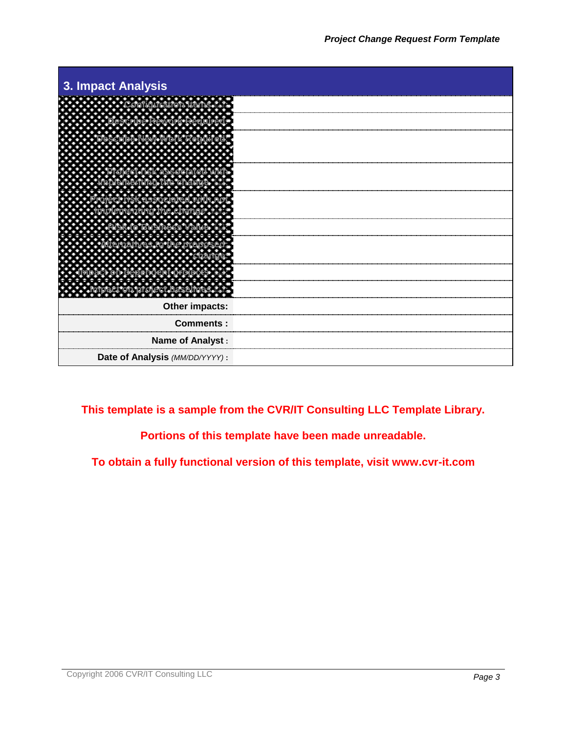

**This template is a sample from the CVR/IT Consulting LLC Template Library.**

**Portions of this template have been made unreadable.**

**To obtain a fully functional version of this template, visit www.cvr-it.com**